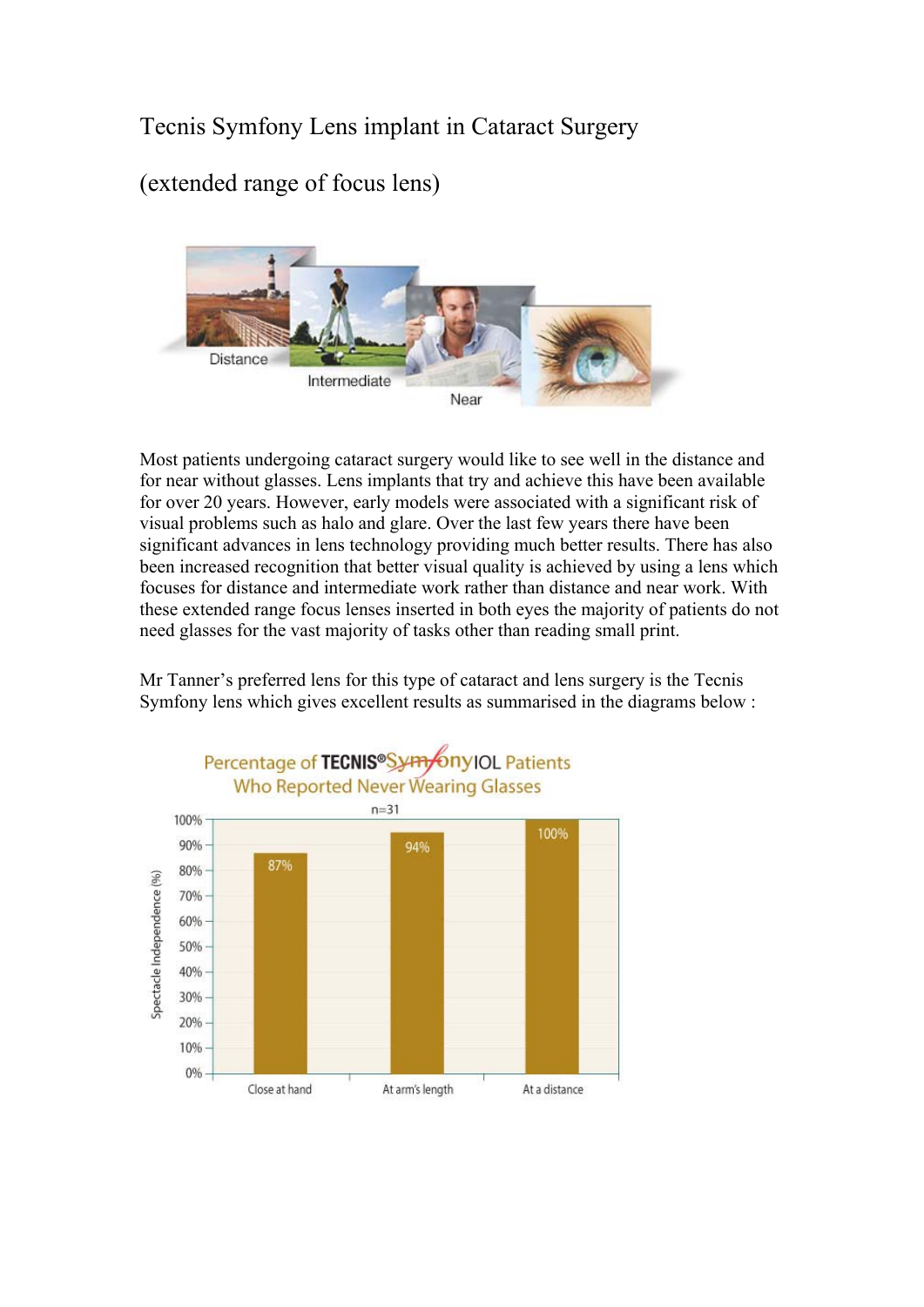## Tecnis Symfony Lens implant in Cataract Surgery

(extended range of focus lens)



Most patients undergoing cataract surgery would like to see well in the distance and for near without glasses. Lens implants that try and achieve this have been available for over 20 years. However, early models were associated with a significant risk of visual problems such as halo and glare. Over the last few years there have been significant advances in lens technology providing much better results. There has also been increased recognition that better visual quality is achieved by using a lens which focuses for distance and intermediate work rather than distance and near work. With these extended range focus lenses inserted in both eyes the majority of patients do not need glasses for the vast majority of tasks other than reading small print.

Mr Tanner's preferred lens for this type of cataract and lens surgery is the Tecnis Symfony lens which gives excellent results as summarised in the diagrams below :

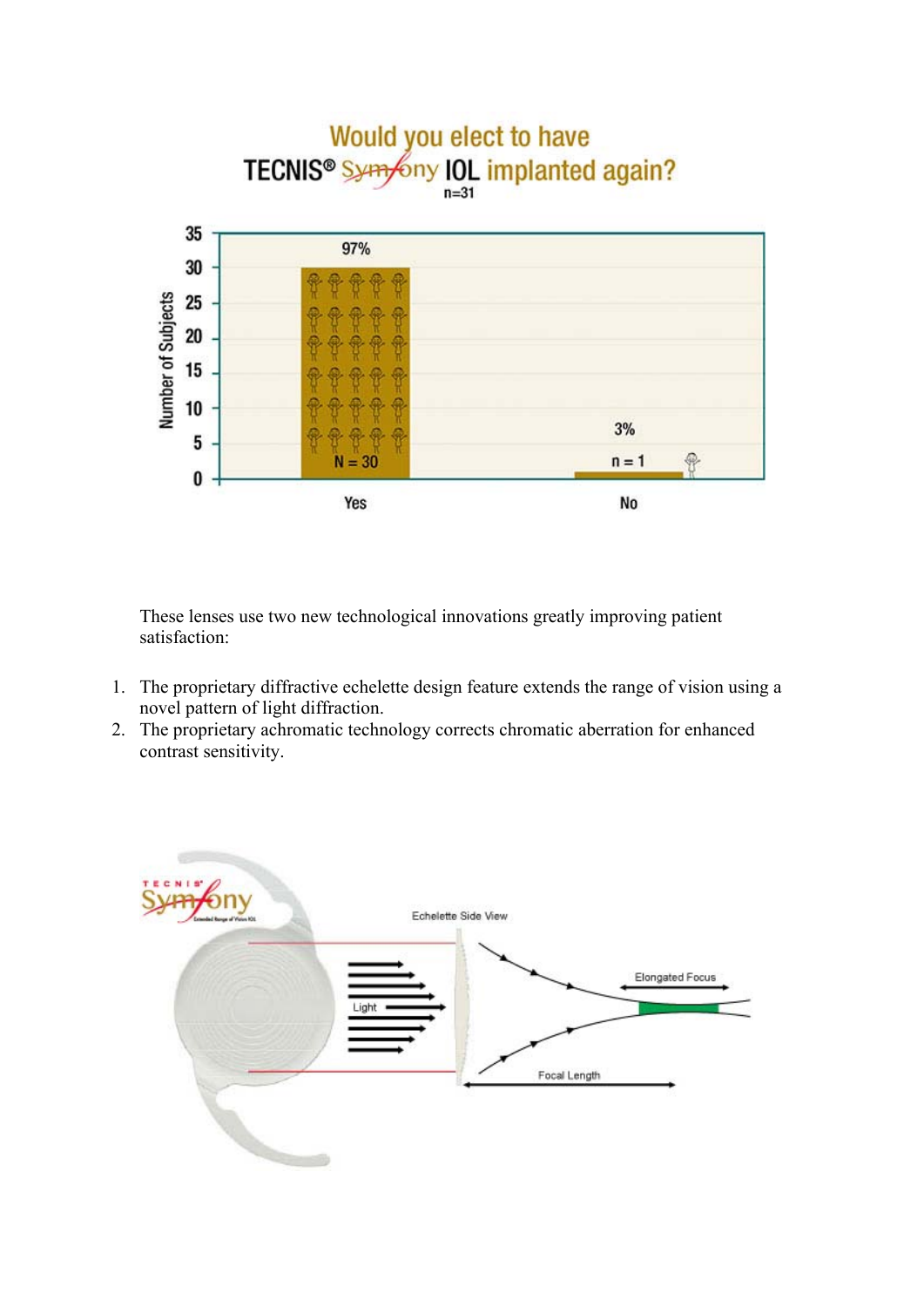

These lenses use two new technological innovations greatly improving patient satisfaction:

- 1. The proprietary diffractive echelette design feature extends the range of vision using a novel pattern of light diffraction.
- 2. The proprietary achromatic technology corrects chromatic aberration for enhanced contrast sensitivity.